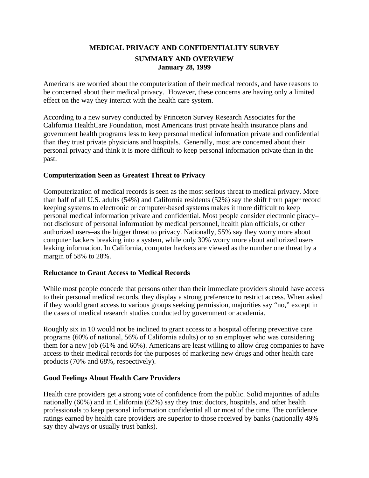# **MEDICAL PRIVACY AND CONFIDENTIALITY SURVEY SUMMARY AND OVERVIEW January 28, 1999**

Americans are worried about the computerization of their medical records, and have reasons to be concerned about their medical privacy. However, these concerns are having only a limited effect on the way they interact with the health care system.

According to a new survey conducted by Princeton Survey Research Associates for the California HealthCare Foundation, most Americans trust private health insurance plans and government health programs less to keep personal medical information private and confidential than they trust private physicians and hospitals. Generally, most are concerned about their personal privacy and think it is more difficult to keep personal information private than in the past.

## **Computerization Seen as Greatest Threat to Privacy**

Computerization of medical records is seen as the most serious threat to medical privacy. More than half of all U.S. adults (54%) and California residents (52%) say the shift from paper record keeping systems to electronic or computer-based systems makes it more difficult to keep personal medical information private and confidential. Most people consider electronic piracy– not disclosure of personal information by medical personnel, health plan officials, or other authorized users–as the bigger threat to privacy. Nationally, 55% say they worry more about computer hackers breaking into a system, while only 30% worry more about authorized users leaking information. In California, computer hackers are viewed as the number one threat by a margin of 58% to 28%.

#### **Reluctance to Grant Access to Medical Records**

While most people concede that persons other than their immediate providers should have access to their personal medical records, they display a strong preference to restrict access. When asked if they would grant access to various groups seeking permission, majorities say "no," except in the cases of medical research studies conducted by government or academia.

Roughly six in 10 would not be inclined to grant access to a hospital offering preventive care programs (60% of national, 56% of California adults) or to an employer who was considering them for a new job (61% and 60%). Americans are least willing to allow drug companies to have access to their medical records for the purposes of marketing new drugs and other health care products (70% and 68%, respectively).

# **Good Feelings About Health Care Providers**

Health care providers get a strong vote of confidence from the public. Solid majorities of adults nationally (60%) and in California (62%) say they trust doctors, hospitals, and other health professionals to keep personal information confidential all or most of the time. The confidence ratings earned by health care providers are superior to those received by banks (nationally 49% say they always or usually trust banks).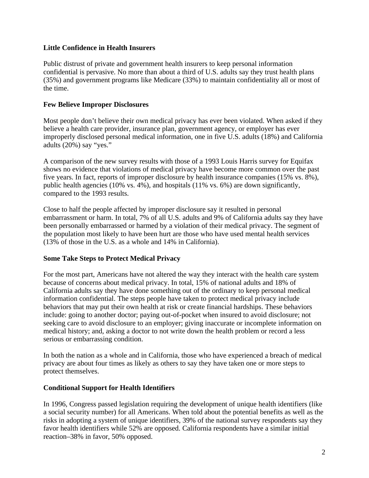# **Little Confidence in Health Insurers**

Public distrust of private and government health insurers to keep personal information confidential is pervasive. No more than about a third of U.S. adults say they trust health plans (35%) and government programs like Medicare (33%) to maintain confidentiality all or most of the time.

## **Few Believe Improper Disclosures**

Most people don't believe their own medical privacy has ever been violated. When asked if they believe a health care provider, insurance plan, government agency, or employer has ever improperly disclosed personal medical information, one in five U.S. adults (18%) and California adults (20%) say "yes."

A comparison of the new survey results with those of a 1993 Louis Harris survey for Equifax shows no evidence that violations of medical privacy have become more common over the past five years. In fact, reports of improper disclosure by health insurance companies (15% vs. 8%), public health agencies (10% vs. 4%), and hospitals (11% vs. 6%) are down significantly, compared to the 1993 results.

Close to half the people affected by improper disclosure say it resulted in personal embarrassment or harm. In total, 7% of all U.S. adults and 9% of California adults say they have been personally embarrassed or harmed by a violation of their medical privacy. The segment of the population most likely to have been hurt are those who have used mental health services (13% of those in the U.S. as a whole and 14% in California).

#### **Some Take Steps to Protect Medical Privacy**

For the most part, Americans have not altered the way they interact with the health care system because of concerns about medical privacy. In total, 15% of national adults and 18% of California adults say they have done something out of the ordinary to keep personal medical information confidential. The steps people have taken to protect medical privacy include behaviors that may put their own health at risk or create financial hardships. These behaviors include: going to another doctor; paying out-of-pocket when insured to avoid disclosure; not seeking care to avoid disclosure to an employer; giving inaccurate or incomplete information on medical history; and, asking a doctor to not write down the health problem or record a less serious or embarrassing condition.

In both the nation as a whole and in California, those who have experienced a breach of medical privacy are about four times as likely as others to say they have taken one or more steps to protect themselves.

#### **Conditional Support for Health Identifiers**

In 1996, Congress passed legislation requiring the development of unique health identifiers (like a social security number) for all Americans. When told about the potential benefits as well as the risks in adopting a system of unique identifiers, 39% of the national survey respondents say they favor health identifiers while 52% are opposed. California respondents have a similar initial reaction–38% in favor, 50% opposed.